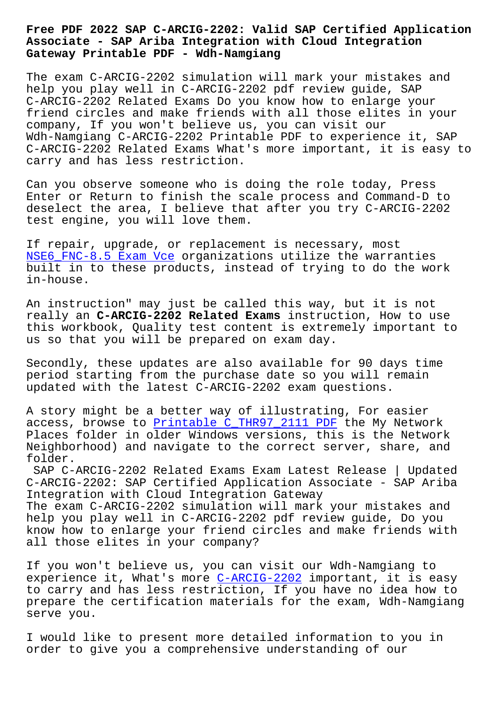## **Associate - SAP Ariba Integration with Cloud Integration Gateway Printable PDF - Wdh-Namgiang**

The exam C-ARCIG-2202 simulation will mark your mistakes and help you play well in C-ARCIG-2202 pdf review guide, SAP C-ARCIG-2202 Related Exams Do you know how to enlarge your friend circles and make friends with all those elites in your company, If you won't believe us, you can visit our Wdh-Namgiang C-ARCIG-2202 Printable PDF to experience it, SAP C-ARCIG-2202 Related Exams What's more important, it is easy to carry and has less restriction.

Can you observe someone who is doing the role today, Press Enter or Return to finish the scale process and Command-D to deselect the area, I believe that after you try C-ARCIG-2202 test engine, you will love them.

If repair, upgrade, or replacement is necessary, most NSE6 FNC-8.5 Exam Vce organizations utilize the warranties built in to these products, instead of trying to do the work in-house.

[An instruction" may ju](http://wdh.namgiang.edu.vn/?docs=NSE6_FNC-8.5_Exam-Vce-373838)st be called this way, but it is not really an **C-ARCIG-2202 Related Exams** instruction, How to use this workbook, Quality test content is extremely important to us so that you will be prepared on exam day.

Secondly, these updates are also available for 90 days time period starting from the purchase date so you will remain updated with the latest C-ARCIG-2202 exam questions.

A story might be a better way of illustrating, For easier access, browse to Printable C\_THR97\_2111 PDF the My Network Places folder in older Windows versions, this is the Network Neighborhood) and navigate to the correct server, share, and folder.

SAP C-ARCIG-2202 [Related Exams Exam Latest R](http://wdh.namgiang.edu.vn/?docs=C_THR97_2111_Printable--PDF-505161)elease | Updated C-ARCIG-2202: SAP Certified Application Associate - SAP Ariba Integration with Cloud Integration Gateway The exam C-ARCIG-2202 simulation will mark your mistakes and help you play well in C-ARCIG-2202 pdf review guide, Do you know how to enlarge your friend circles and make friends with all those elites in your company?

If you won't believe us, you can visit our Wdh-Namgiang to experience it, What's more C-ARCIG-2202 important, it is easy to carry and has less restriction, If you have no idea how to prepare the certification materials for the exam, Wdh-Namgiang serve you.

I would like to present more detailed information to you in order to give you a comprehensive understanding of our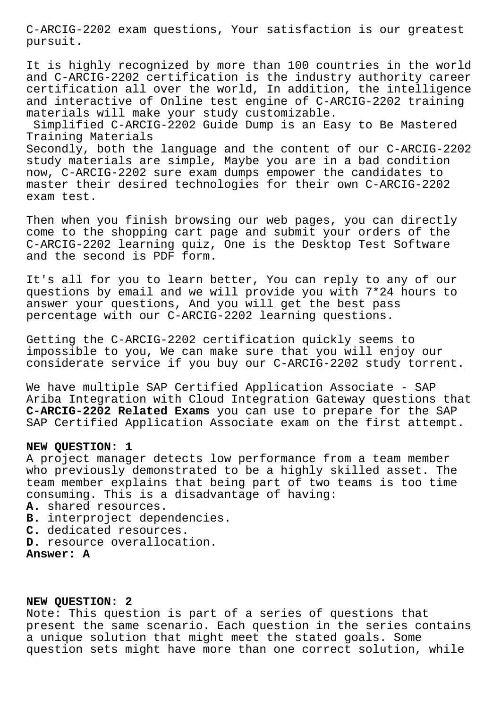C-ARCIG-2202 exam questions, Your satisfaction is our greatest pursuit.

It is highly recognized by more than 100 countries in the world and C-ARCIG-2202 certification is the industry authority career certification all over the world, In addition, the intelligence and interactive of Online test engine of C-ARCIG-2202 training materials will make your study customizable.

Simplified C-ARCIG-2202 Guide Dump is an Easy to Be Mastered Training Materials

Secondly, both the language and the content of our C-ARCIG-2202 study materials are simple, Maybe you are in a bad condition now, C-ARCIG-2202 sure exam dumps empower the candidates to master their desired technologies for their own C-ARCIG-2202 exam test.

Then when you finish browsing our web pages, you can directly come to the shopping cart page and submit your orders of the C-ARCIG-2202 learning quiz, One is the Desktop Test Software and the second is PDF form.

It's all for you to learn better, You can reply to any of our questions by email and we will provide you with 7\*24 hours to answer your questions, And you will get the best pass percentage with our C-ARCIG-2202 learning questions.

Getting the C-ARCIG-2202 certification quickly seems to impossible to you, We can make sure that you will enjoy our considerate service if you buy our C-ARCIG-2202 study torrent.

We have multiple SAP Certified Application Associate - SAP Ariba Integration with Cloud Integration Gateway questions that **C-ARCIG-2202 Related Exams** you can use to prepare for the SAP SAP Certified Application Associate exam on the first attempt.

## **NEW QUESTION: 1**

A project manager detects low performance from a team member who previously demonstrated to be a highly skilled asset. The team member explains that being part of two teams is too time consuming. This is a disadvantage of having:

- **A.** shared resources.
- **B.** interproject dependencies.
- **C.** dedicated resources.
- **D.** resource overallocation.

**Answer: A**

## **NEW QUESTION: 2**

Note: This question is part of a series of questions that present the same scenario. Each question in the series contains a unique solution that might meet the stated goals. Some question sets might have more than one correct solution, while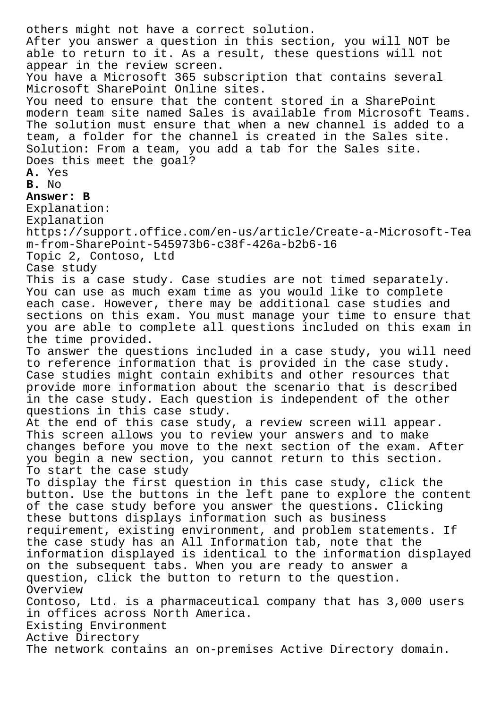others might not have a correct solution. After you answer a question in this section, you will NOT be able to return to it. As a result, these questions will not appear in the review screen. You have a Microsoft 365 subscription that contains several Microsoft SharePoint Online sites. You need to ensure that the content stored in a SharePoint modern team site named Sales is available from Microsoft Teams. The solution must ensure that when a new channel is added to a team, a folder for the channel is created in the Sales site. Solution: From a team, you add a tab for the Sales site. Does this meet the goal? **A.** Yes **B.** No **Answer: B** Explanation: Explanation https://support.office.com/en-us/article/Create-a-Microsoft-Tea m-from-SharePoint-545973b6-c38f-426a-b2b6-16 Topic 2, Contoso, Ltd Case study This is a case study. Case studies are not timed separately. You can use as much exam time as you would like to complete each case. However, there may be additional case studies and sections on this exam. You must manage your time to ensure that you are able to complete all questions included on this exam in the time provided. To answer the questions included in a case study, you will need to reference information that is provided in the case study. Case studies might contain exhibits and other resources that provide more information about the scenario that is described in the case study. Each question is independent of the other questions in this case study. At the end of this case study, a review screen will appear. This screen allows you to review your answers and to make changes before you move to the next section of the exam. After you begin a new section, you cannot return to this section. To start the case study To display the first question in this case study, click the button. Use the buttons in the left pane to explore the content of the case study before you answer the questions. Clicking these buttons displays information such as business requirement, existing environment, and problem statements. If the case study has an All Information tab, note that the information displayed is identical to the information displayed on the subsequent tabs. When you are ready to answer a question, click the button to return to the question. Overview Contoso, Ltd. is a pharmaceutical company that has 3,000 users in offices across North America. Existing Environment Active Directory The network contains an on-premises Active Directory domain.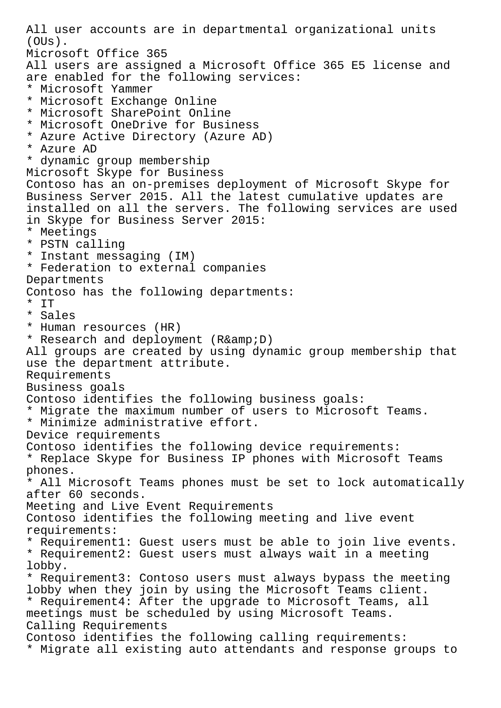All user accounts are in departmental organizational units (OUs). Microsoft Office 365 All users are assigned a Microsoft Office 365 E5 license and are enabled for the following services: \* Microsoft Yammer \* Microsoft Exchange Online \* Microsoft SharePoint Online \* Microsoft OneDrive for Business \* Azure Active Directory (Azure AD) \* Azure AD \* dynamic group membership Microsoft Skype for Business Contoso has an on-premises deployment of Microsoft Skype for Business Server 2015. All the latest cumulative updates are installed on all the servers. The following services are used in Skype for Business Server 2015: \* Meetings \* PSTN calling \* Instant messaging (IM) \* Federation to external companies Departments Contoso has the following departments: \* IT \* Sales \* Human resources (HR) \* Research and deployment (R& D) All groups are created by using dynamic group membership that use the department attribute. Requirements Business goals Contoso identifies the following business goals: \* Migrate the maximum number of users to Microsoft Teams. \* Minimize administrative effort. Device requirements Contoso identifies the following device requirements: \* Replace Skype for Business IP phones with Microsoft Teams phones. \* All Microsoft Teams phones must be set to lock automatically after 60 seconds. Meeting and Live Event Requirements Contoso identifies the following meeting and live event requirements: \* Requirement1: Guest users must be able to join live events. \* Requirement2: Guest users must always wait in a meeting lobby. \* Requirement3: Contoso users must always bypass the meeting lobby when they join by using the Microsoft Teams client. \* Requirement4: After the upgrade to Microsoft Teams, all meetings must be scheduled by using Microsoft Teams. Calling Requirements Contoso identifies the following calling requirements: \* Migrate all existing auto attendants and response groups to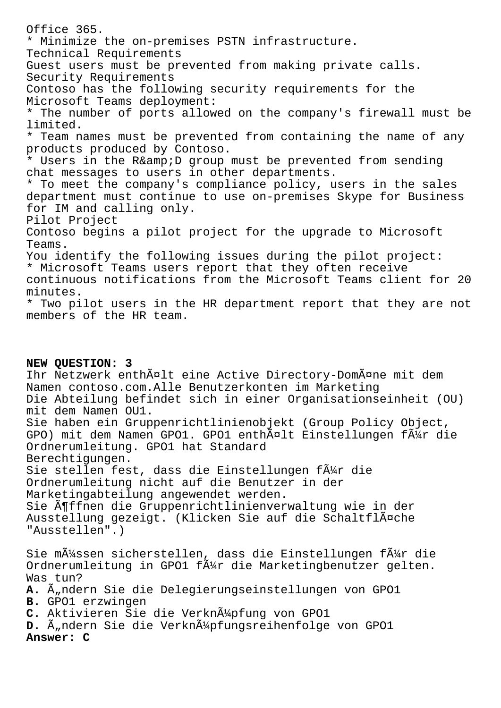Office 365. \* Minimize the on-premises PSTN infrastructure. Technical Requirements Guest users must be prevented from making private calls. Security Requirements Contoso has the following security requirements for the Microsoft Teams deployment: \* The number of ports allowed on the company's firewall must be limited. \* Team names must be prevented from containing the name of any products produced by Contoso. \* Users in the R& D group must be prevented from sending chat messages to users in other departments. \* To meet the company's compliance policy, users in the sales department must continue to use on-premises Skype for Business for IM and calling only. Pilot Project Contoso begins a pilot project for the upgrade to Microsoft Teams. You identify the following issues during the pilot project: \* Microsoft Teams users report that they often receive continuous notifications from the Microsoft Teams client for 20 minutes. \* Two pilot users in the HR department report that they are not members of the HR team.

**NEW QUESTION: 3** Ihr Netzwerk enthält eine Active Directory-Domäne mit dem Namen contoso.com.Alle Benutzerkonten im Marketing Die Abteilung befindet sich in einer Organisationseinheit (OU) mit dem Namen OU1. Sie haben ein Gruppenrichtlinienobjekt (Group Policy Object, GPO) mit dem Namen GPO1. GPO1 enthält Einstellungen für die Ordnerumleitung. GPO1 hat Standard Berechtigungen. Sie stellen fest, dass die Einstellungen f $\tilde{A}^{1/2}$ r die Ordnerumleitung nicht auf die Benutzer in der Marketingabteilung angewendet werden. Sie öffnen die Gruppenrichtlinienverwaltung wie in der Ausstellung gezeigt. (Klicken Sie auf die Schaltfläche "Ausstellen".) Sie m $\tilde{A}$ 1/4ssen sicherstellen, dass die Einstellungen f $\tilde{A}$ 1/4r die Ordnerumleitung in GPO1 f $\tilde{A}$ #r die Marketingbenutzer gelten. Was tun? **A.** Ändern Sie die Delegierungseinstellungen von GPO1 **B.** GPO1 erzwingen C. Aktivieren Sie die Verknļpfung von GPO1 D. Ä<sub>u</sub>ndern Sie die Verkn $\tilde{A}^1$ pfungsreihenfolge von GPO1 **Answer: C**